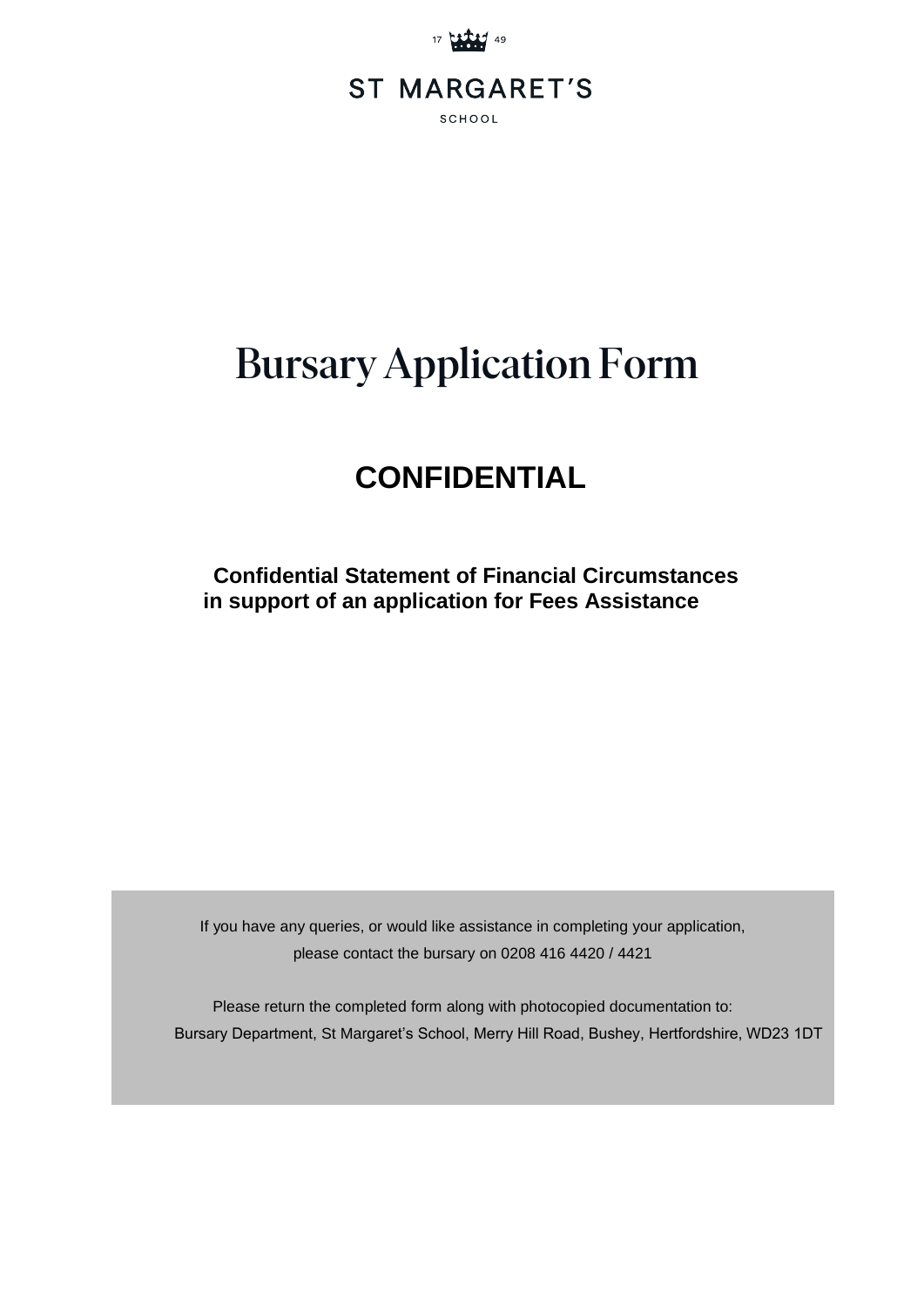

# Bursary Application Form

## **CONFIDENTIAL**

 **Confidential Statement of Financial Circumstances in support of an application for Fees Assistance** 

If you have any queries, or would like assistance in completing your application, please contact the bursary on 0208 416 4420 / 4421

Please return the completed form along with photocopied documentation to: Bursary Department, St Margaret's School, Merry Hill Road, Bushey, Hertfordshire, WD23 1DT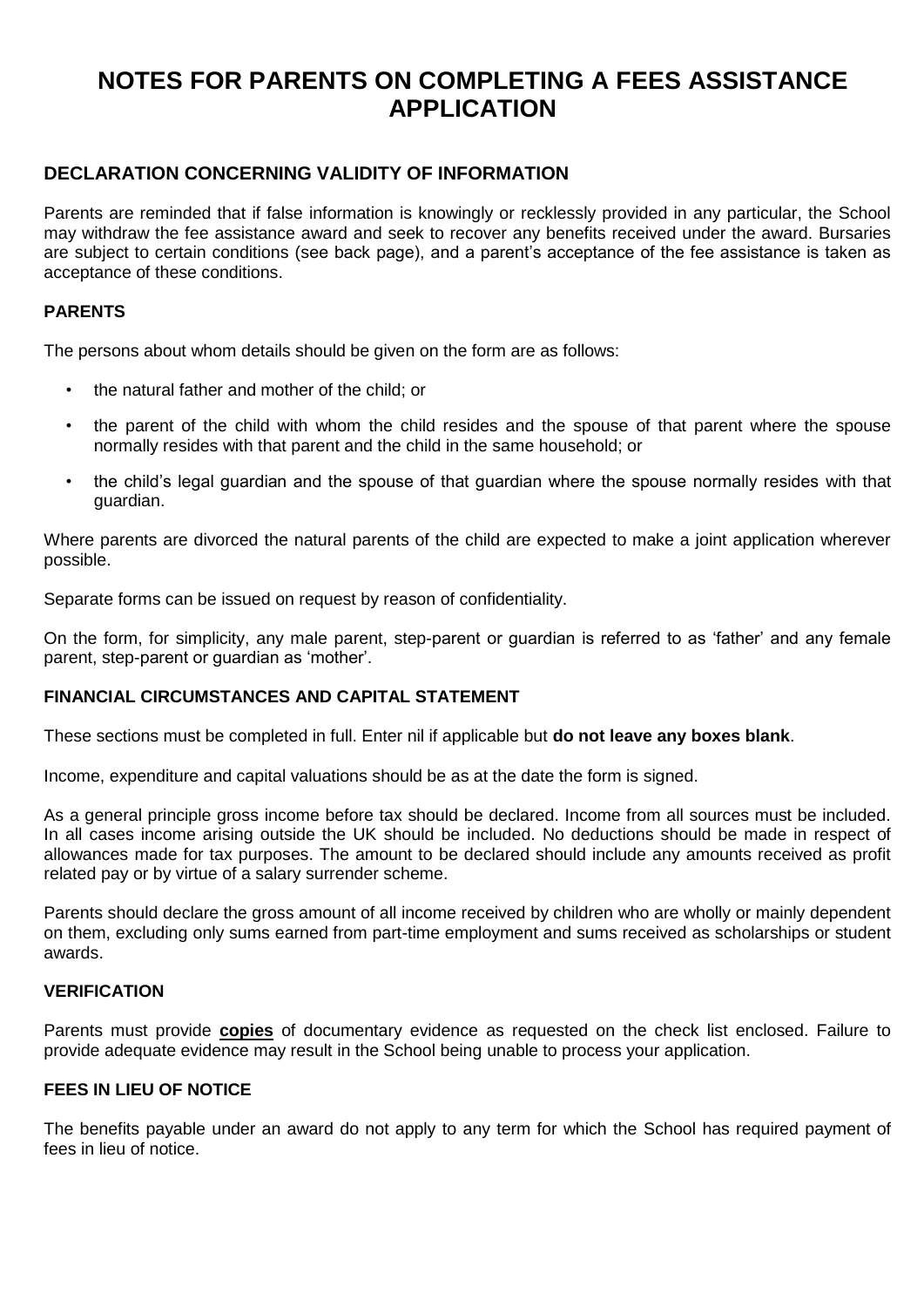## **NOTES FOR PARENTS ON COMPLETING A FEES ASSISTANCE APPLICATION**

#### **DECLARATION CONCERNING VALIDITY OF INFORMATION**

Parents are reminded that if false information is knowingly or recklessly provided in any particular, the School may withdraw the fee assistance award and seek to recover any benefits received under the award. Bursaries are subject to certain conditions (see back page), and a parent's acceptance of the fee assistance is taken as acceptance of these conditions.

#### **PARENTS**

The persons about whom details should be given on the form are as follows:

- the natural father and mother of the child; or
- the parent of the child with whom the child resides and the spouse of that parent where the spouse normally resides with that parent and the child in the same household; or
- the child's legal guardian and the spouse of that guardian where the spouse normally resides with that guardian.

Where parents are divorced the natural parents of the child are expected to make a joint application wherever possible.

Separate forms can be issued on request by reason of confidentiality.

On the form, for simplicity, any male parent, step-parent or guardian is referred to as 'father' and any female parent, step-parent or guardian as 'mother'.

#### **FINANCIAL CIRCUMSTANCES AND CAPITAL STATEMENT**

These sections must be completed in full. Enter nil if applicable but **do not leave any boxes blank**.

Income, expenditure and capital valuations should be as at the date the form is signed.

As a general principle gross income before tax should be declared. Income from all sources must be included. In all cases income arising outside the UK should be included. No deductions should be made in respect of allowances made for tax purposes. The amount to be declared should include any amounts received as profit related pay or by virtue of a salary surrender scheme.

Parents should declare the gross amount of all income received by children who are wholly or mainly dependent on them, excluding only sums earned from part-time employment and sums received as scholarships or student awards.

#### **VERIFICATION**

Parents must provide **copies** of documentary evidence as requested on the check list enclosed. Failure to provide adequate evidence may result in the School being unable to process your application.

#### **FEES IN LIEU OF NOTICE**

The benefits payable under an award do not apply to any term for which the School has required payment of fees in lieu of notice.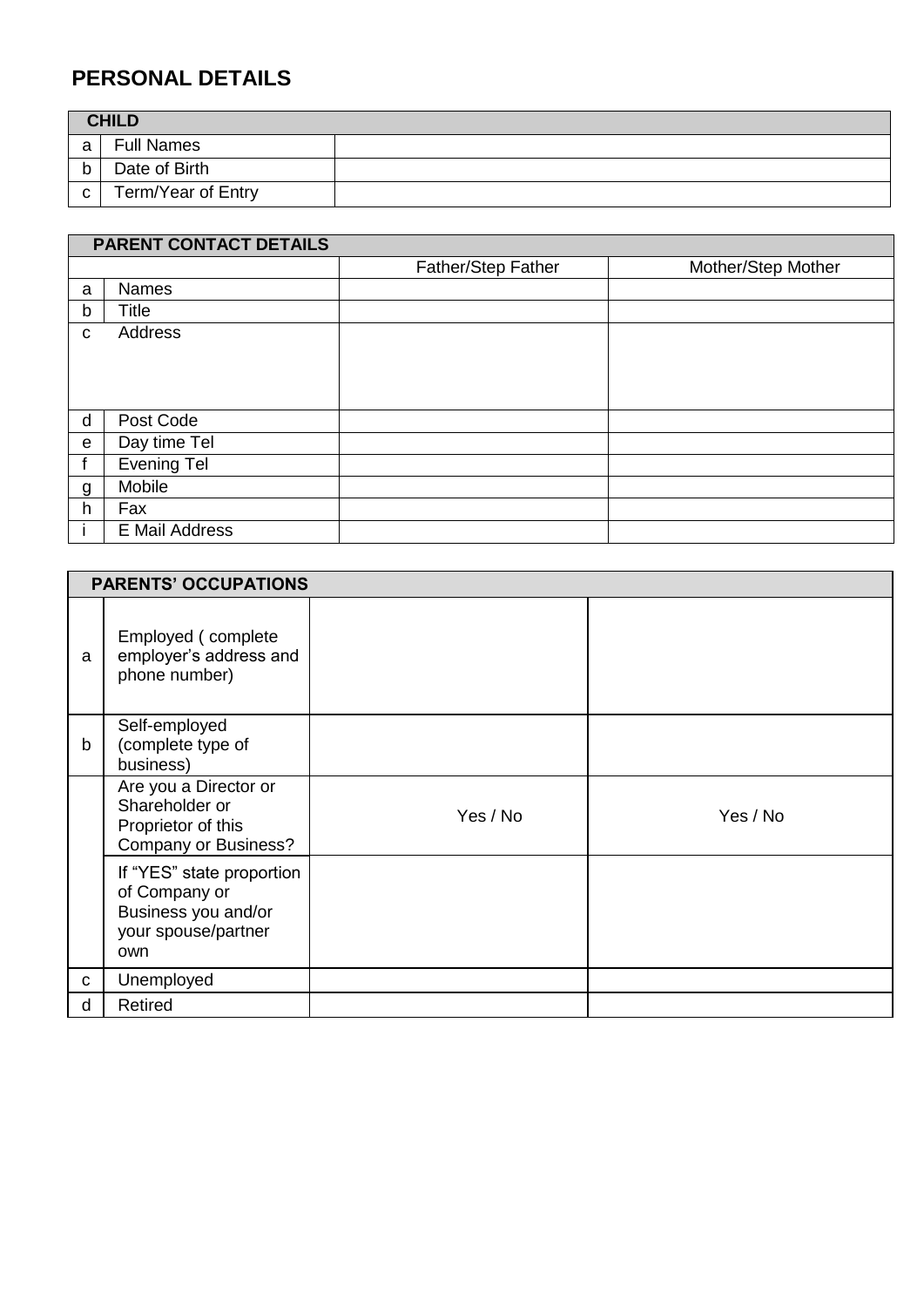## **PERSONAL DETAILS**

| <b>CHILD</b> |                    |  |
|--------------|--------------------|--|
| a            | <b>Full Names</b>  |  |
| h            | Date of Birth      |  |
| $\mathbf{C}$ | Term/Year of Entry |  |

|              | PARENT CONTACT DETAILS |                    |                    |  |  |
|--------------|------------------------|--------------------|--------------------|--|--|
|              |                        | Father/Step Father | Mother/Step Mother |  |  |
| a            | <b>Names</b>           |                    |                    |  |  |
| $\mathsf{b}$ | <b>Title</b>           |                    |                    |  |  |
| C            | Address                |                    |                    |  |  |
|              |                        |                    |                    |  |  |
|              |                        |                    |                    |  |  |
|              |                        |                    |                    |  |  |
| d            | Post Code              |                    |                    |  |  |
| $\mathbf e$  | Day time Tel           |                    |                    |  |  |
|              | <b>Evening Tel</b>     |                    |                    |  |  |
| g            | Mobile                 |                    |                    |  |  |
| h            | Fax                    |                    |                    |  |  |
|              | E Mail Address         |                    |                    |  |  |

|   | <b>PARENTS' OCCUPATIONS</b>                                                                     |          |          |
|---|-------------------------------------------------------------------------------------------------|----------|----------|
| a | Employed (complete<br>employer's address and<br>phone number)                                   |          |          |
| b | Self-employed<br>(complete type of<br>business)                                                 |          |          |
|   | Are you a Director or<br>Shareholder or<br>Proprietor of this<br><b>Company or Business?</b>    | Yes / No | Yes / No |
|   | If "YES" state proportion<br>of Company or<br>Business you and/or<br>your spouse/partner<br>own |          |          |
| С | Unemployed                                                                                      |          |          |
| d | Retired                                                                                         |          |          |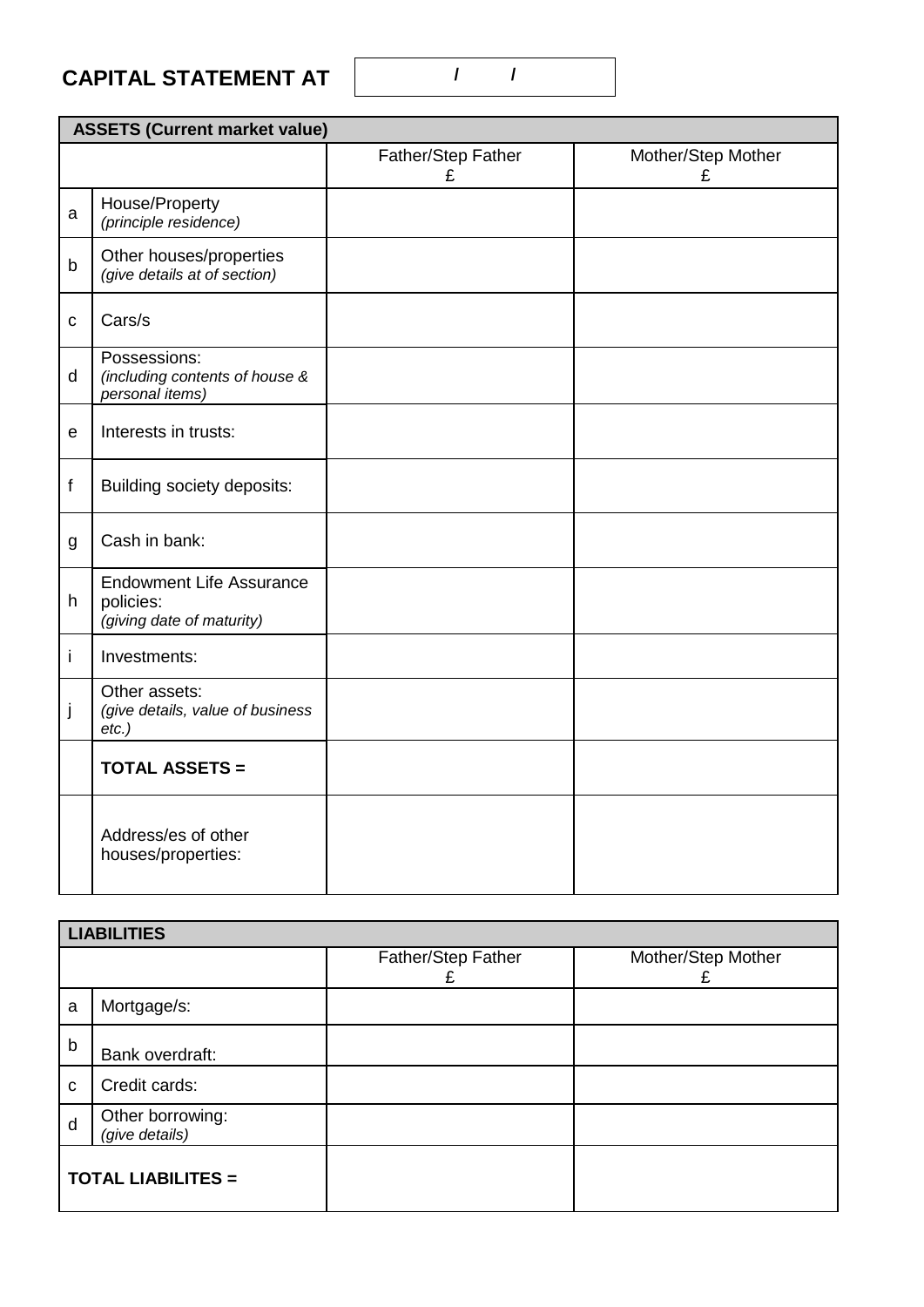## **CAPITAL STATEMENT AT**

j

*etc.)*

*(give details, value of business* 

**TOTAL ASSETS =**

Address/es of other houses/properties:

### **ASSETS (Current market value)** Father/Step Father £ Mother/Step Mother £ a House/Property *(principle residence)* b Other houses/properties *(give details at of section)* c Cars/s d Possessions: *(including contents of house & personal items)* e | Interests in trusts: f Building society deposits: g Cash in bank: h Endowment Life Assurance policies: *(giving date of maturity)* i | Investments: Other assets:

|                           | <b>LIABILITIES</b>                 |                    |                    |
|---------------------------|------------------------------------|--------------------|--------------------|
|                           |                                    | Father/Step Father | Mother/Step Mother |
| a                         | Mortgage/s:                        |                    |                    |
| $\mathsf b$               | Bank overdraft:                    |                    |                    |
| C                         | Credit cards:                      |                    |                    |
| d                         | Other borrowing:<br>(give details) |                    |                    |
| <b>TOTAL LIABILITES =</b> |                                    |                    |                    |

**/ /**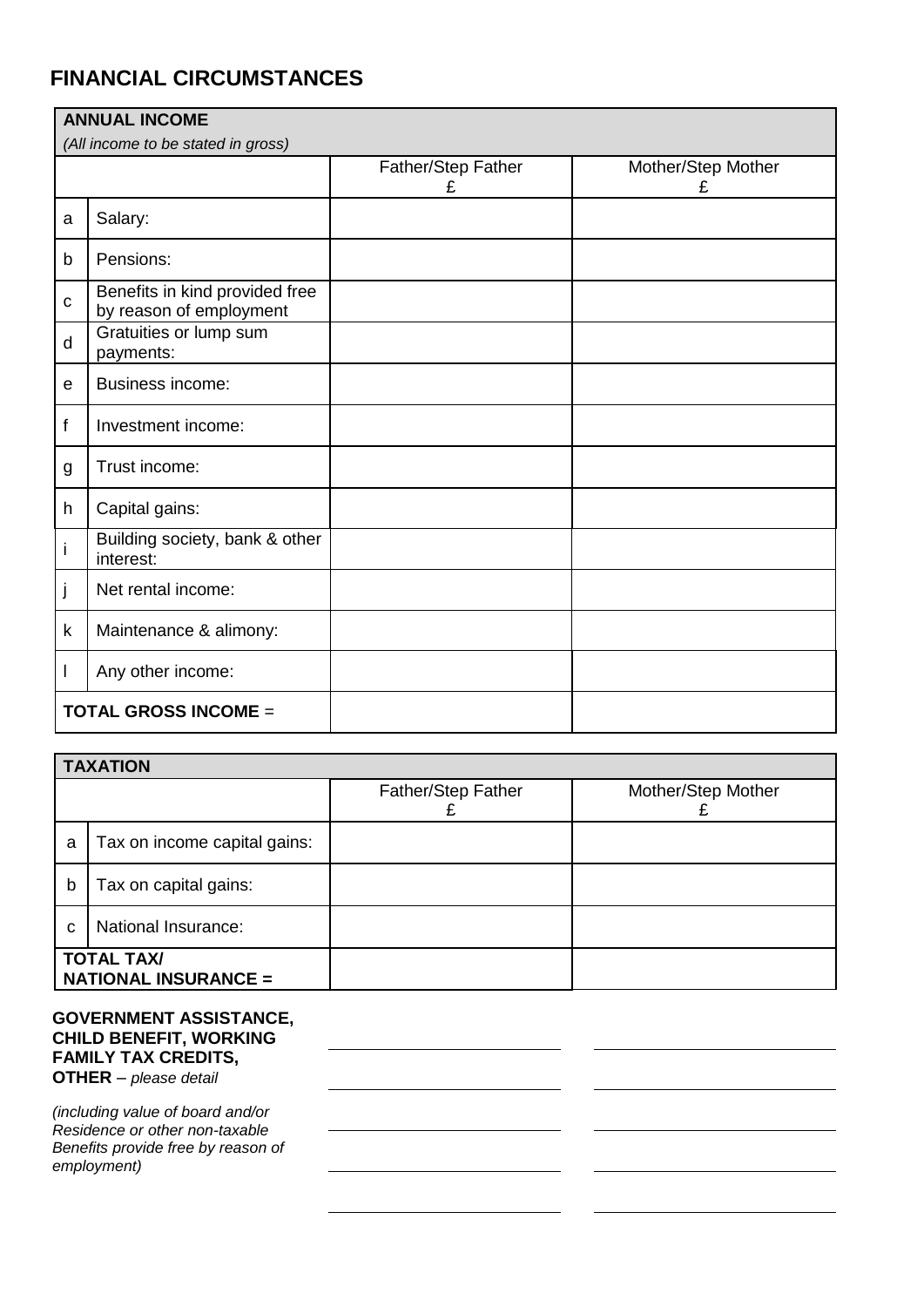## **FINANCIAL CIRCUMSTANCES**

| <b>ANNUAL INCOME</b> |                                                           |                         |                         |  |  |  |
|----------------------|-----------------------------------------------------------|-------------------------|-------------------------|--|--|--|
|                      | (All income to be stated in gross)                        |                         |                         |  |  |  |
|                      |                                                           | Father/Step Father<br>£ | Mother/Step Mother<br>£ |  |  |  |
| a                    | Salary:                                                   |                         |                         |  |  |  |
| $\mathsf{b}$         | Pensions:                                                 |                         |                         |  |  |  |
| $\mathbf C$          | Benefits in kind provided free<br>by reason of employment |                         |                         |  |  |  |
| d                    | Gratuities or lump sum<br>payments:                       |                         |                         |  |  |  |
| e                    | <b>Business income:</b>                                   |                         |                         |  |  |  |
| f                    | Investment income:                                        |                         |                         |  |  |  |
| g                    | Trust income:                                             |                         |                         |  |  |  |
| h                    | Capital gains:                                            |                         |                         |  |  |  |
| i                    | Building society, bank & other<br>interest:               |                         |                         |  |  |  |
| j                    | Net rental income:                                        |                         |                         |  |  |  |
| $\mathsf k$          | Maintenance & alimony:                                    |                         |                         |  |  |  |
| L                    | Any other income:                                         |                         |                         |  |  |  |
|                      | <b>TOTAL GROSS INCOME =</b>                               |                         |                         |  |  |  |

|                                                  | <b>TAXATION</b>              |                    |                    |  |  |
|--------------------------------------------------|------------------------------|--------------------|--------------------|--|--|
|                                                  |                              | Father/Step Father | Mother/Step Mother |  |  |
| a                                                | Tax on income capital gains: |                    |                    |  |  |
| b                                                | Tax on capital gains:        |                    |                    |  |  |
| National Insurance:<br>C                         |                              |                    |                    |  |  |
| <b>TOTAL TAX/</b><br><b>NATIONAL INSURANCE =</b> |                              |                    |                    |  |  |

#### **GOVERNMENT ASSISTANCE, CHILD BENEFIT, WORKING FAMILY TAX CREDITS, OTHER** – *please detail*

*(including value of board and/or Residence or other non-taxable Benefits provide free by reason of employment)*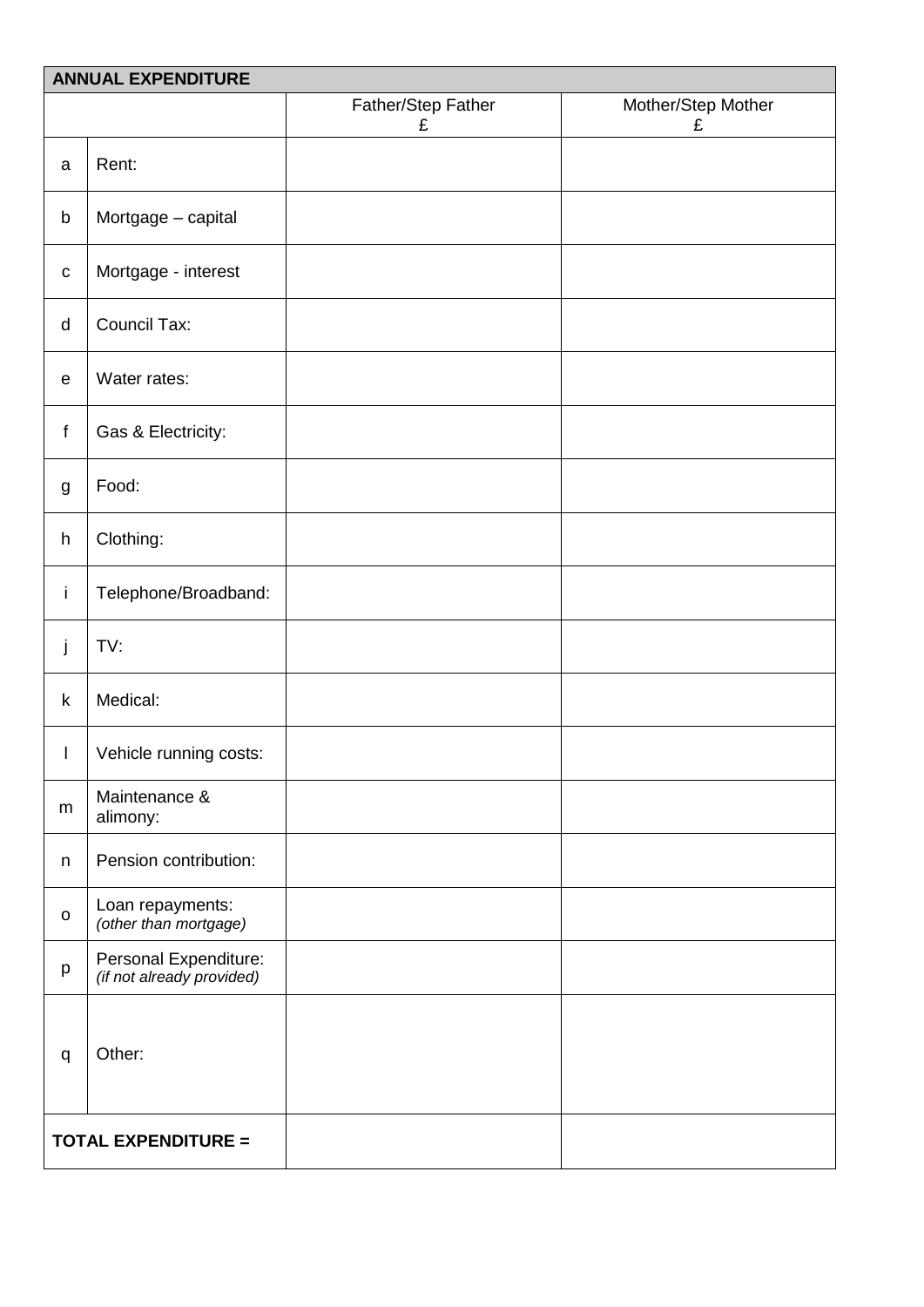|              | <b>ANNUAL EXPENDITURE</b>                          |                         |                         |
|--------------|----------------------------------------------------|-------------------------|-------------------------|
|              |                                                    | Father/Step Father<br>£ | Mother/Step Mother<br>£ |
| a            | Rent:                                              |                         |                         |
| b            | Mortgage - capital                                 |                         |                         |
| $\mathbf C$  | Mortgage - interest                                |                         |                         |
| d            | <b>Council Tax:</b>                                |                         |                         |
| $\mathsf e$  | Water rates:                                       |                         |                         |
| f            | Gas & Electricity:                                 |                         |                         |
| g            | Food:                                              |                         |                         |
| h            | Clothing:                                          |                         |                         |
| İ.           | Telephone/Broadband:                               |                         |                         |
| j            | TV:                                                |                         |                         |
| $\sf k$      | Medical:                                           |                         |                         |
| $\mathsf{I}$ | Vehicle running costs:                             |                         |                         |
| m            | Maintenance &<br>alimony:                          |                         |                         |
| n            | Pension contribution:                              |                         |                         |
| $\mathsf{o}$ | Loan repayments:<br>(other than mortgage)          |                         |                         |
| p            | Personal Expenditure:<br>(if not already provided) |                         |                         |
| q            | Other:                                             |                         |                         |
|              | <b>TOTAL EXPENDITURE =</b>                         |                         |                         |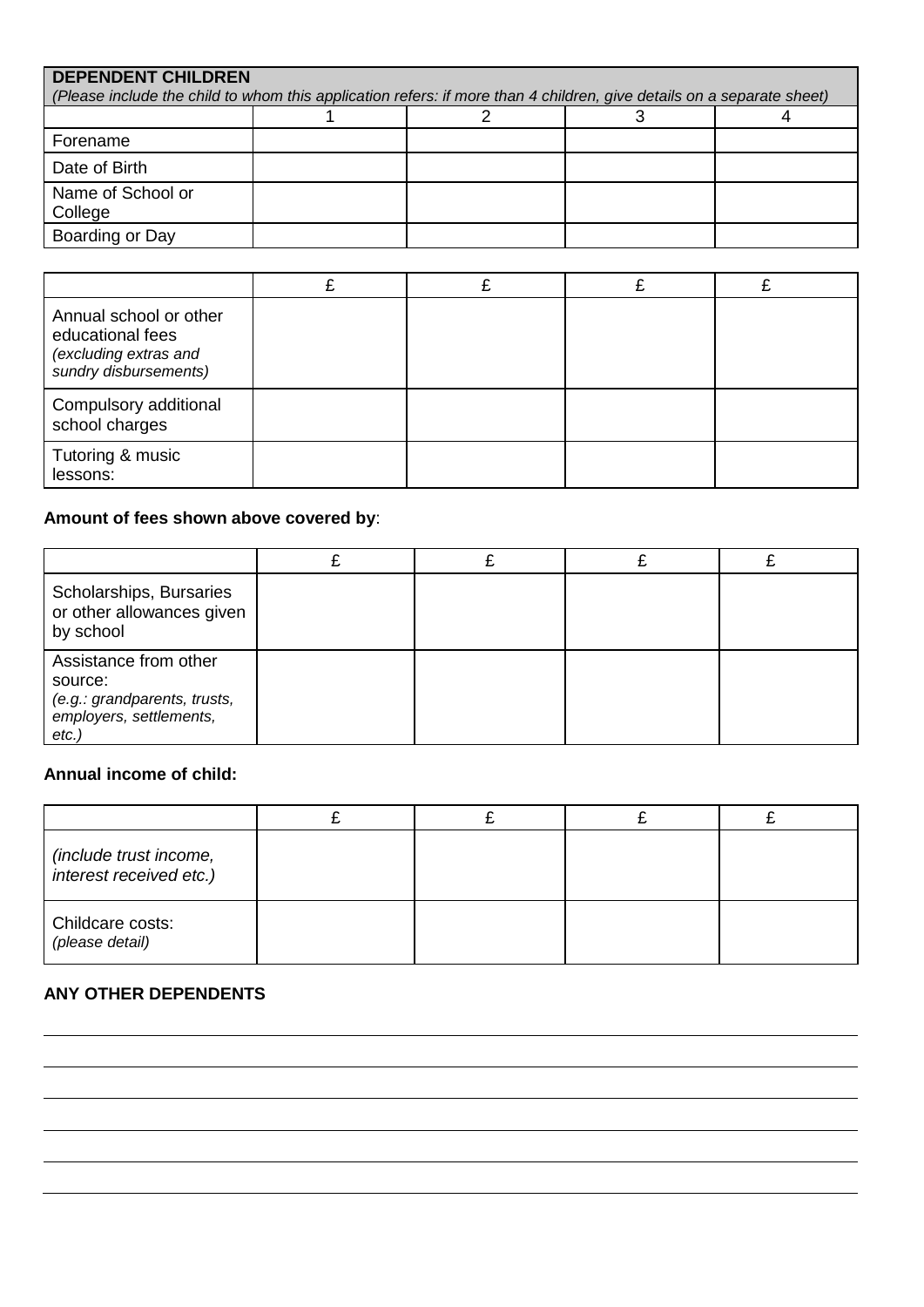| <b>DEPENDENT CHILDREN</b><br>(Please include the child to whom this application refers: if more than 4 children, give details on a separate sheet) |  |  |  |  |
|----------------------------------------------------------------------------------------------------------------------------------------------------|--|--|--|--|
|                                                                                                                                                    |  |  |  |  |
|                                                                                                                                                    |  |  |  |  |
| Forename                                                                                                                                           |  |  |  |  |
| Date of Birth                                                                                                                                      |  |  |  |  |
| Name of School or<br>College                                                                                                                       |  |  |  |  |
| Boarding or Day                                                                                                                                    |  |  |  |  |

| Annual school or other<br>educational fees<br>(excluding extras and<br>sundry disbursements) |  |  |
|----------------------------------------------------------------------------------------------|--|--|
| Compulsory additional<br>school charges                                                      |  |  |
| Tutoring & music<br>lessons:                                                                 |  |  |

### **Amount of fees shown above covered by**:

| Scholarships, Bursaries<br>or other allowances given<br>by school                                   |  |  |
|-----------------------------------------------------------------------------------------------------|--|--|
| Assistance from other<br>source:<br>(e.g.: grandparents, trusts,<br>employers, settlements,<br>etc. |  |  |

### **Annual income of child:**

| (include trust income,<br>interest received etc.) |  |  |
|---------------------------------------------------|--|--|
| Childcare costs:<br>(please detail)               |  |  |

#### **ANY OTHER DEPENDENTS**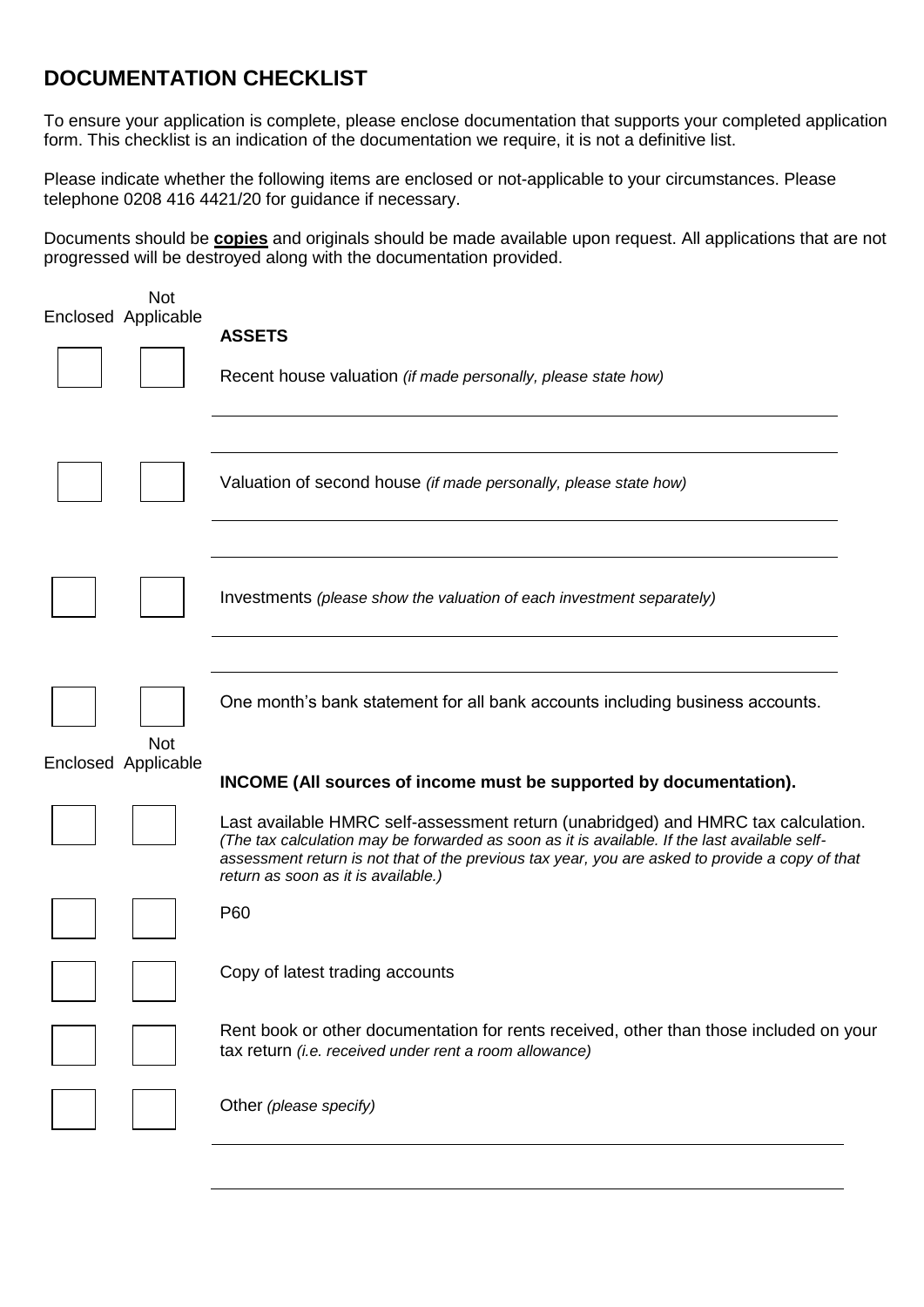## **DOCUMENTATION CHECKLIST**

To ensure your application is complete, please enclose documentation that supports your completed application form. This checklist is an indication of the documentation we require, it is not a definitive list.

Please indicate whether the following items are enclosed or not-applicable to your circumstances. Please telephone 0208 416 4421/20 for guidance if necessary.

Documents should be **copies** and originals should be made available upon request. All applications that are not progressed will be destroyed along with the documentation provided.

| <b>Not</b><br>Enclosed Applicable | <b>ASSETS</b><br>Recent house valuation (if made personally, please state how)                                                                                                                                                                                                                                               |
|-----------------------------------|------------------------------------------------------------------------------------------------------------------------------------------------------------------------------------------------------------------------------------------------------------------------------------------------------------------------------|
|                                   | Valuation of second house <i>(if made personally, please state how)</i>                                                                                                                                                                                                                                                      |
|                                   | Investments (please show the valuation of each investment separately)                                                                                                                                                                                                                                                        |
| <b>Not</b><br>Enclosed Applicable | One month's bank statement for all bank accounts including business accounts.<br>INCOME (All sources of income must be supported by documentation).                                                                                                                                                                          |
|                                   | Last available HMRC self-assessment return (unabridged) and HMRC tax calculation.<br>(The tax calculation may be forwarded as soon as it is available. If the last available self-<br>assessment return is not that of the previous tax year, you are asked to provide a copy of that<br>return as soon as it is available.) |
|                                   | P60                                                                                                                                                                                                                                                                                                                          |
|                                   | Copy of latest trading accounts                                                                                                                                                                                                                                                                                              |
|                                   | Rent book or other documentation for rents received, other than those included on your<br>tax return (i.e. received under rent a room allowance)                                                                                                                                                                             |
|                                   | Other (please specify)                                                                                                                                                                                                                                                                                                       |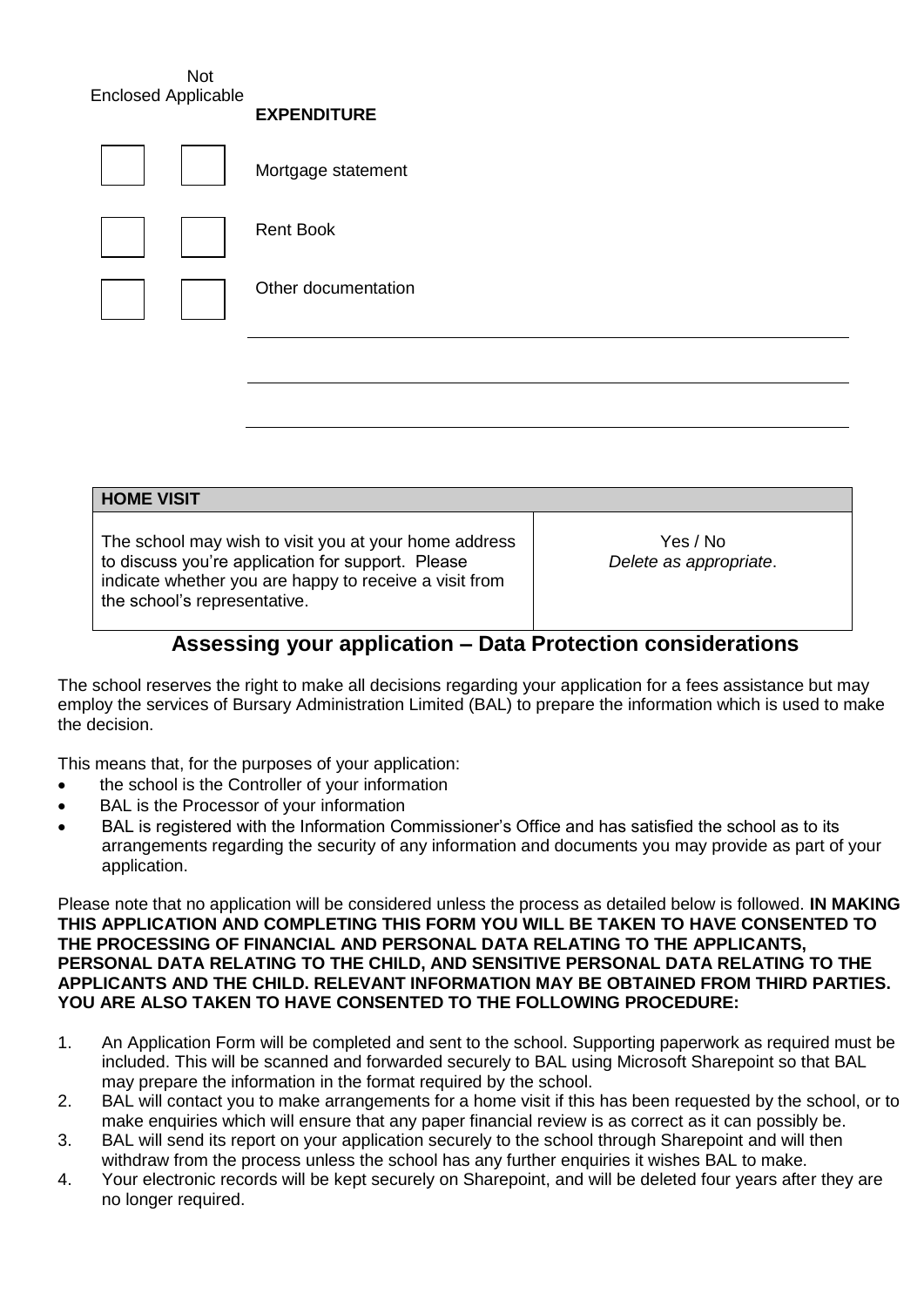Not Enclosed Applicable

|  | CAFENDIIUNE         |
|--|---------------------|
|  | Mortgage statement  |
|  | <b>Rent Book</b>    |
|  | Other documentation |
|  |                     |

**EXPENDITURE**

| <b>HOME VISIT</b>                                                                                                                                                                                    |                                    |  |  |  |
|------------------------------------------------------------------------------------------------------------------------------------------------------------------------------------------------------|------------------------------------|--|--|--|
| The school may wish to visit you at your home address<br>to discuss you're application for support. Please<br>indicate whether you are happy to receive a visit from<br>the school's representative. | Yes / No<br>Delete as appropriate. |  |  |  |

## **Assessing your application – Data Protection considerations**

The school reserves the right to make all decisions regarding your application for a fees assistance but may employ the services of Bursary Administration Limited (BAL) to prepare the information which is used to make the decision.

This means that, for the purposes of your application:

- the school is the Controller of your information
- BAL is the Processor of your information
- BAL is registered with the Information Commissioner's Office and has satisfied the school as to its arrangements regarding the security of any information and documents you may provide as part of your application.

Please note that no application will be considered unless the process as detailed below is followed. **IN MAKING THIS APPLICATION AND COMPLETING THIS FORM YOU WILL BE TAKEN TO HAVE CONSENTED TO THE PROCESSING OF FINANCIAL AND PERSONAL DATA RELATING TO THE APPLICANTS, PERSONAL DATA RELATING TO THE CHILD, AND SENSITIVE PERSONAL DATA RELATING TO THE APPLICANTS AND THE CHILD. RELEVANT INFORMATION MAY BE OBTAINED FROM THIRD PARTIES. YOU ARE ALSO TAKEN TO HAVE CONSENTED TO THE FOLLOWING PROCEDURE:**

- 1. An Application Form will be completed and sent to the school. Supporting paperwork as required must be included. This will be scanned and forwarded securely to BAL using Microsoft Sharepoint so that BAL may prepare the information in the format required by the school.
- 2. BAL will contact you to make arrangements for a home visit if this has been requested by the school, or to make enquiries which will ensure that any paper financial review is as correct as it can possibly be.
- 3. BAL will send its report on your application securely to the school through Sharepoint and will then withdraw from the process unless the school has any further enquiries it wishes BAL to make.
- 4. Your electronic records will be kept securely on Sharepoint, and will be deleted four years after they are no longer required.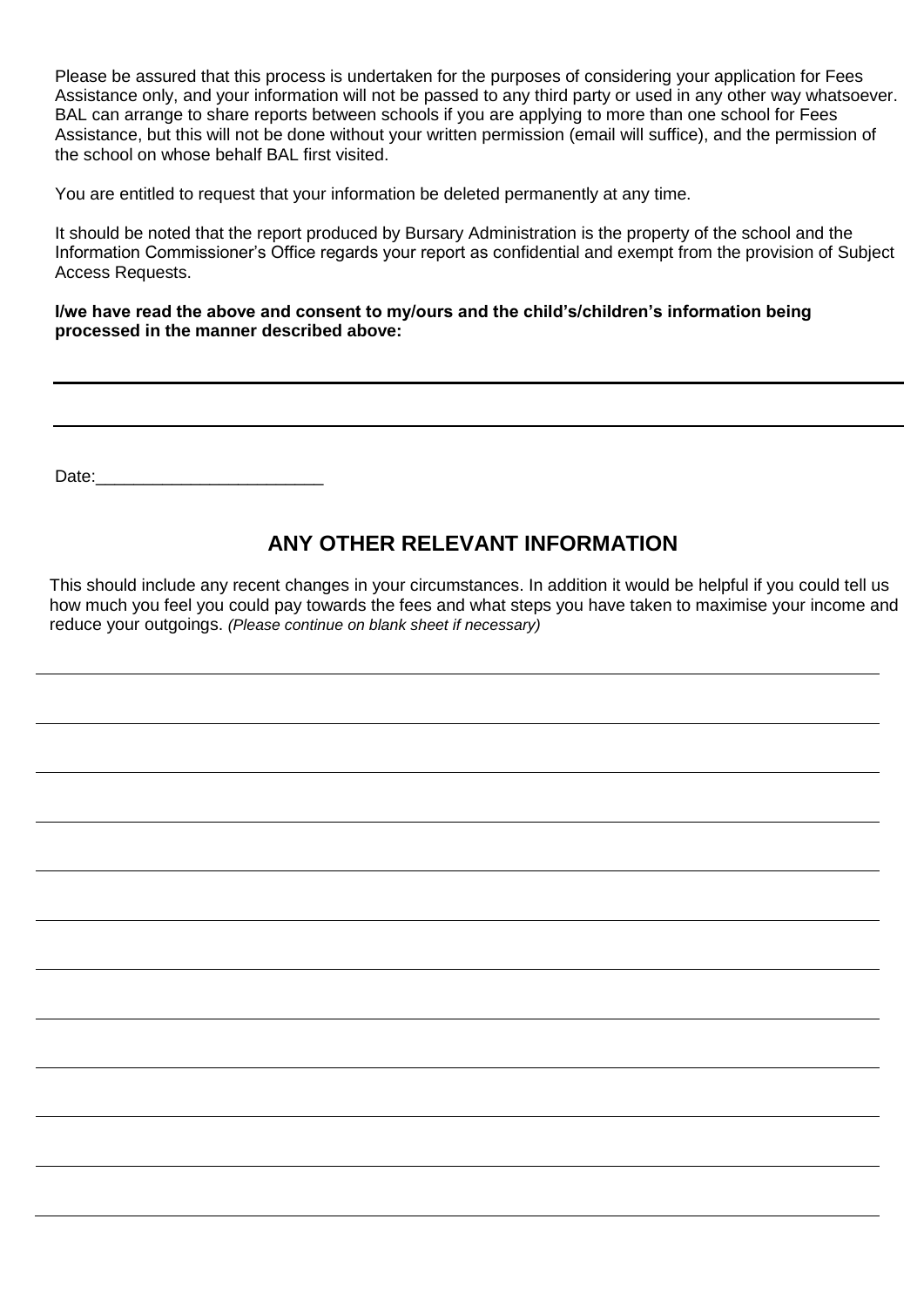Please be assured that this process is undertaken for the purposes of considering your application for Fees Assistance only, and your information will not be passed to any third party or used in any other way whatsoever. BAL can arrange to share reports between schools if you are applying to more than one school for Fees Assistance, but this will not be done without your written permission (email will suffice), and the permission of the school on whose behalf BAL first visited.

You are entitled to request that your information be deleted permanently at any time.

It should be noted that the report produced by Bursary Administration is the property of the school and the Information Commissioner's Office regards your report as confidential and exempt from the provision of Subject Access Requests.

**I/we have read the above and consent to my/ours and the child's/children's information being processed in the manner described above:**

Date:

## **ANY OTHER RELEVANT INFORMATION**

This should include any recent changes in your circumstances. In addition it would be helpful if you could tell us how much you feel you could pay towards the fees and what steps you have taken to maximise your income and reduce your outgoings. *(Please continue on blank sheet if necessary)*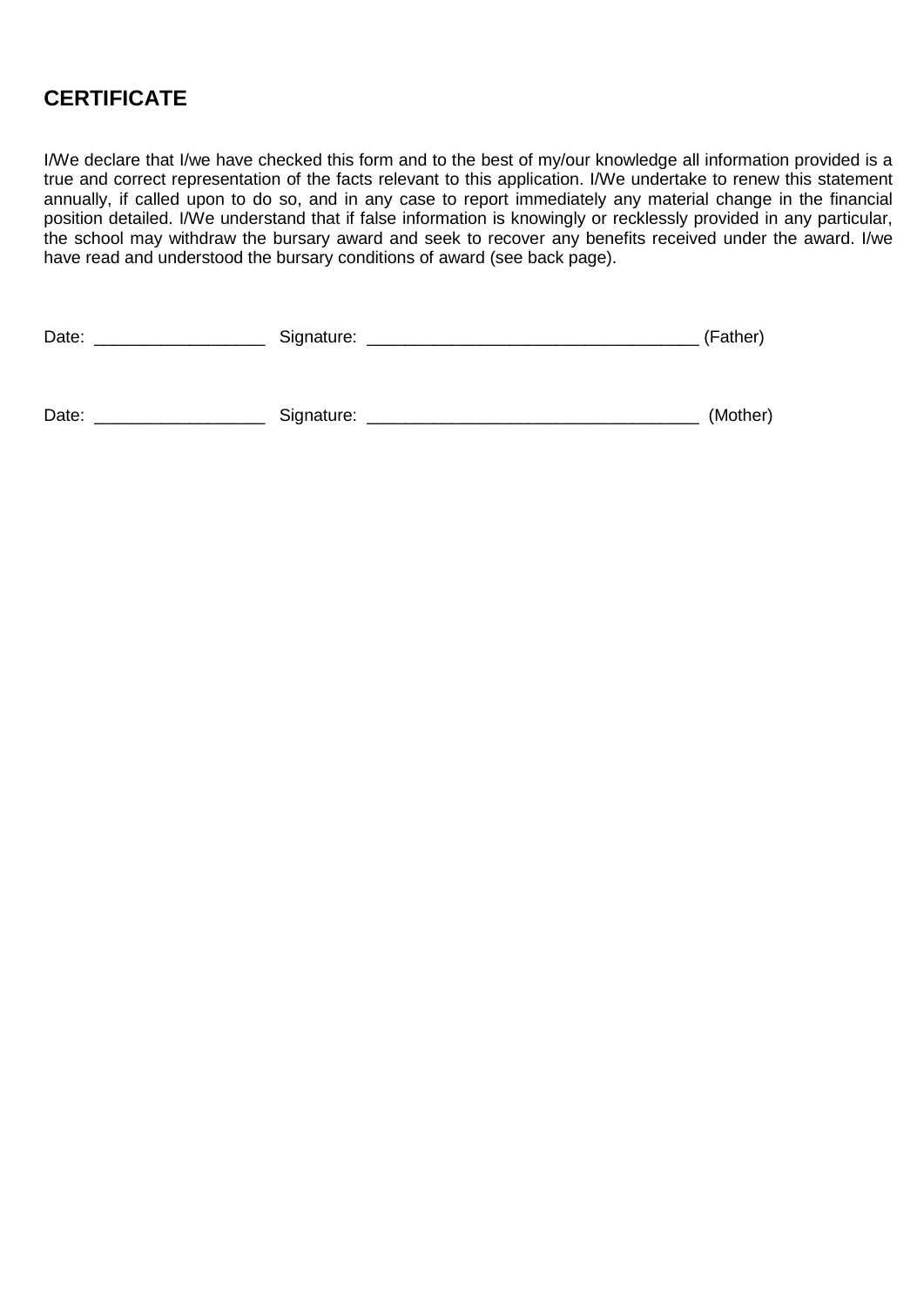## **CERTIFICATE**

I/We declare that I/we have checked this form and to the best of my/our knowledge all information provided is a true and correct representation of the facts relevant to this application. I/We undertake to renew this statement annually, if called upon to do so, and in any case to report immediately any material change in the financial position detailed. I/We understand that if false information is knowingly or recklessly provided in any particular, the school may withdraw the bursary award and seek to recover any benefits received under the award. I/we have read and understood the bursary conditions of award (see back page).

| Date: | Signature: | (Father) |
|-------|------------|----------|
|       |            |          |
| Date: | Signature: | (Mother) |